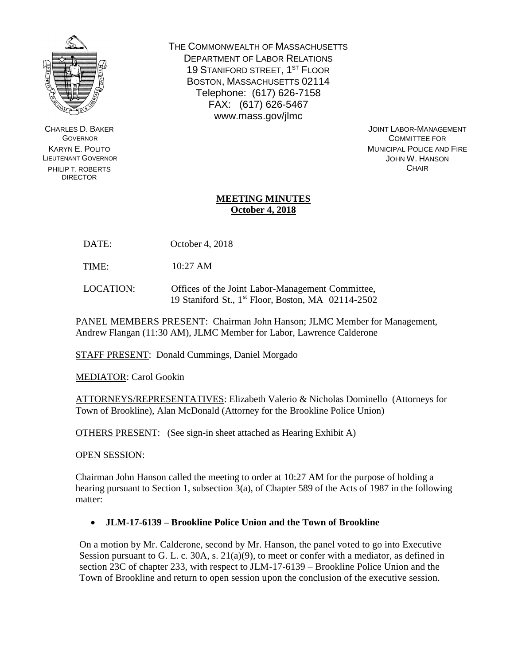

CHARLES D. BAKER **GOVERNOR** KARYN E. POLITO LIEUTENANT GOVERNOR PHILIP T. ROBERTS DIRECTOR

THE COMMONWEALTH OF MASSACHUSETTS DEPARTMENT OF LABOR RELATIONS 19 STANIFORD STREET, 1<sup>ST</sup> FLOOR BOSTON, MASSACHUSETTS 02114 Telephone: (617) 626-7158 FAX: (617) 626-5467 www.mass.gov/jlmc

JOINT LABOR-MANAGEMENT COMMITTEE FOR MUNICIPAL POLICE AND FIRE JOHN W. HANSON **CHAIR** 

## **MEETING MINUTES October 4, 2018**

DATE: October 4, 2018

TIME: 10:27 AM

LOCATION: Offices of the Joint Labor-Management Committee, 19 Staniford St., 1 st Floor, Boston, MA 02114-2502

PANEL MEMBERS PRESENT: Chairman John Hanson; JLMC Member for Management, Andrew Flangan (11:30 AM), JLMC Member for Labor, Lawrence Calderone

STAFF PRESENT: Donald Cummings, Daniel Morgado

MEDIATOR: Carol Gookin

ATTORNEYS/REPRESENTATIVES: Elizabeth Valerio & Nicholas Dominello (Attorneys for Town of Brookline), Alan McDonald (Attorney for the Brookline Police Union)

OTHERS PRESENT: (See sign-in sheet attached as Hearing Exhibit A)

OPEN SESSION:

Chairman John Hanson called the meeting to order at 10:27 AM for the purpose of holding a hearing pursuant to Section 1, subsection 3(a), of Chapter 589 of the Acts of 1987 in the following matter:

## **JLM-17-6139 – Brookline Police Union and the Town of Brookline**

On a motion by Mr. Calderone, second by Mr. Hanson, the panel voted to go into Executive Session pursuant to G. L. c. 30A, s.  $21(a)(9)$ , to meet or confer with a mediator, as defined in section 23C of chapter 233, with respect to JLM-17-6139 – Brookline Police Union and the Town of Brookline and return to open session upon the conclusion of the executive session.